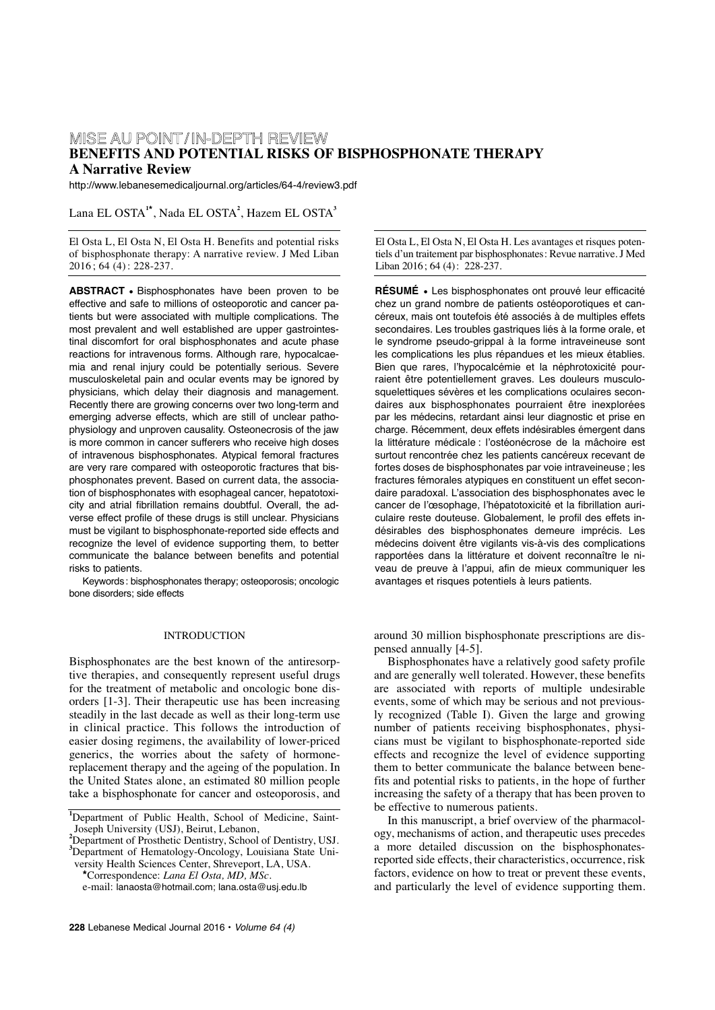# MISE AU POINT/ IN-DEPTH REVIEW **BENEFITS AND POTENTIAL RISKS OF BISPHOSPHONATE THERAPY A Narrative Review**

http://www.lebanesemedicaljournal.org/articles/64-4/review3.pdf

# Lana EL OSTA**<sup>1</sup>\*** , Nada EL OSTA**<sup>2</sup>** , Hazem EL OSTA**<sup>3</sup>**

El Osta L, El Osta N, El Osta H. Benefits and potential risks of bisphosphonate therapy: A narrative review. J Med Liban 2016 ; 64 (4) : 228-237.

**ABSTRACT •** Bisphosphonates have been proven to be effective and safe to millions of osteoporotic and cancer patients but were associated with multiple complications. The most prevalent and well established are upper gastrointestinal discomfort for oral bisphosphonates and acute phase reactions for intravenous forms. Although rare, hypocalcaemia and renal injury could be potentially serious. Severe musculoskeletal pain and ocular events may be ignored by physicians, which delay their diagnosis and management. Recently there are growing concerns over two long-term and emerging adverse effects, which are still of unclear pathophysiology and unproven causality. Osteonecrosis of the jaw is more common in cancer sufferers who receive high doses of intravenous bisphosphonates. Atypical femoral fractures are very rare compared with osteoporotic fractures that bisphosphonates prevent. Based on current data, the association of bisphosphonates with esophageal cancer, hepatotoxicity and atrial fibrillation remains doubtful. Overall, the adverse effect profile of these drugs is still unclear. Physicians must be vigilant to bisphosphonate-reported side effects and recognize the level of evidence supporting them, to better communicate the balance between benefits and potential risks to patients.

Keywords: bisphosphonates therapy; osteoporosis; oncologic bone disorders; side effects

## INTRODUCTION

Bisphosphonates are the best known of the antiresorptive therapies, and consequently represent useful drugs for the treatment of metabolic and oncologic bone disorders [1-3]. Their therapeutic use has been increasing steadily in the last decade as well as their long-term use in clinical practice. This follows the introduction of easier dosing regimens, the availability of lower-priced generics, the worries about the safety of hormonereplacement therapy and the ageing of the population. In the United States alone, an estimated 80 million people take a bisphosphonate for cancer and osteoporosis, and

**3** Department of Hematology-Oncology, Louisiana State Uni-

versity Health Sciences Center, Shreveport, LA, USA.

**\***Correspondence: *Lana El Osta, MD, MSc.* e-mail: lanaosta@hotmail.com; lana.osta@usj.edu.lb El Osta L, El Osta N, El Osta H. Les avantages et risques potentiels d'un traitement par bisphosphonates: Revue narrative. J Med Liban 2016; 64 (4): 228-237.

**RÉSUMÉ •** Les bisphosphonates ont prouvé leur efficacité chez un grand nombre de patients ostéoporotiques et cancéreux, mais ont toutefois été associés à de multiples effets secondaires. Les troubles gastriques liés à la forme orale, et le syndrome pseudo-grippal à la forme intraveineuse sont les complications les plus répandues et les mieux établies. Bien que rares, l'hypocalcémie et la néphrotoxicité pourraient être potentiellement graves. Les douleurs musculosquelettiques sévères et les complications oculaires secondaires aux bisphosphonates pourraient être inexplorées par les médecins, retardant ainsi leur diagnostic et prise en charge. Récemment, deux effets indésirables émergent dans la littérature médicale : l'ostéonécrose de la mâchoire est surtout rencontrée chez les patients cancéreux recevant de fortes doses de bisphosphonates par voie intraveineuse; les fractures fémorales atypiques en constituent un effet secondaire paradoxal. L'association des bisphosphonates avec le cancer de l'œsophage, l'hépatotoxicité et la fibrillation auriculaire reste douteuse. Globalement, le profil des effets indésirables des bisphosphonates demeure imprécis. Les médecins doivent être vigilants vis-à-vis des complications rapportées dans la littérature et doivent reconnaître le niveau de preuve à l'appui, afin de mieux communiquer les avantages et risques potentiels à leurs patients.

around 30 million bisphosphonate prescriptions are dispensed annually [4-5].

Bisphosphonates have a relatively good safety profile and are generally well tolerated. However, these benefits are associated with reports of multiple undesirable events, some of which may be serious and not previously recognized (Table I). Given the large and growing number of patients receiving bisphosphonates, physicians must be vigilant to bisphosphonate-reported side effects and recognize the level of evidence supporting them to better communicate the balance between benefits and potential risks to patients, in the hope of further increasing the safety of a therapy that has been proven to be effective to numerous patients.

In this manuscript, a brief overview of the pharmacology, mechanisms of action, and therapeutic uses precedes a more detailed discussion on the bisphosphonatesreported side effects, their characteristics, occurrence, risk factors, evidence on how to treat or prevent these events, and particularly the level of evidence supporting them.

**<sup>1</sup>** Department of Public Health, School of Medicine, Saint-Joseph University (USJ), Beirut, Lebanon,<br><sup>2</sup> Department of Prosthetic Dentistry, School of Dentistry, USJ.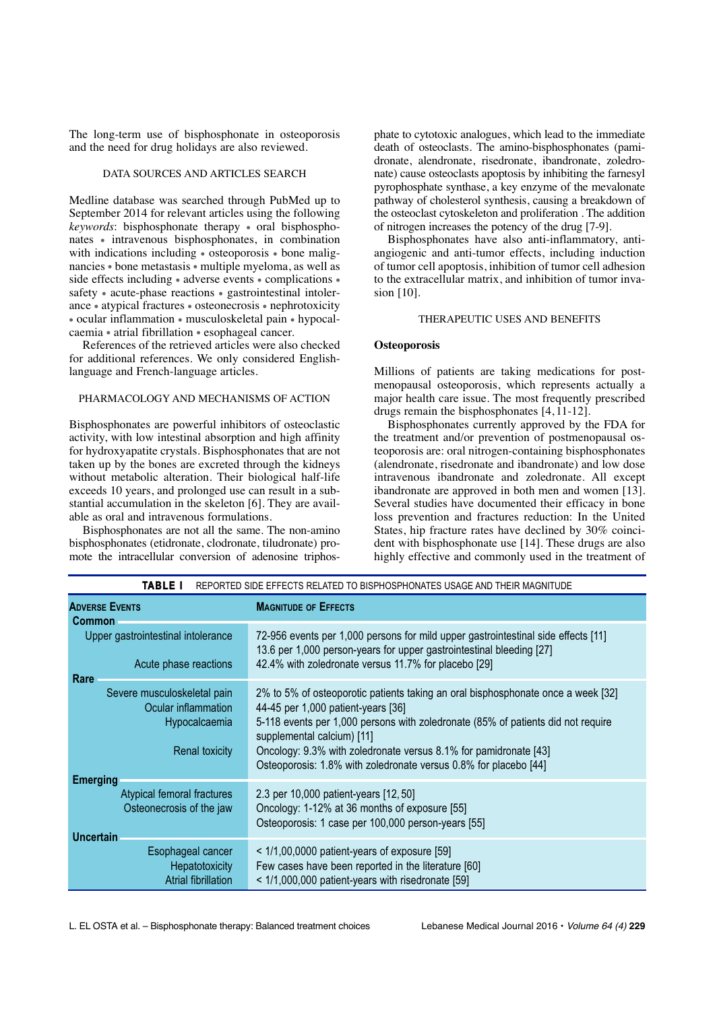The long-term use of bisphosphonate in osteoporosis and the need for drug holidays are also reviewed.

#### DATA SOURCES AND ARTICLES SEARCH

Medline database was searched through PubMed up to September 2014 for relevant articles using the following *keywords*: bisphosphonate therapy • oral bisphosphonates • intravenous bisphosphonates, in combination with indications including • osteoporosis • bone malignancies • bone metastasis • multiple myeloma, as well as side effects including • adverse events • complications • safety • acute-phase reactions • gastrointestinal intolerance • atypical fractures • osteonecrosis • nephrotoxicity • ocular inflammation • musculoskeletal pain • hypocalcaemia • atrial fibrillation • esophageal cancer.

References of the retrieved articles were also checked for additional references. We only considered Englishlanguage and French-language articles.

## PHARMACOLOGY AND MECHANISMS OF ACTION

Bisphosphonates are powerful inhibitors of osteoclastic activity, with low intestinal absorption and high affinity for hydroxyapatite crystals. Bisphosphonates that are not taken up by the bones are excreted through the kidneys without metabolic alteration. Their biological half-life exceeds 10 years, and prolonged use can result in a substantial accumulation in the skeleton [6]. They are available as oral and intravenous formulations.

Bisphosphonates are not all the same. The non-amino bisphosphonates (etidronate, clodronate, tiludronate) promote the intracellular conversion of adenosine triphosphate to cytotoxic analogues, which lead to the immediate death of osteoclasts. The amino-bisphosphonates (pamidronate, alendronate, risedronate, ibandronate, zoledronate) cause osteoclasts apoptosis by inhibiting the farnesyl pyrophosphate synthase, a key enzyme of the mevalonate pathway of cholesterol synthesis, causing a breakdown of the osteoclast cytoskeleton and proliferation . The addition of nitrogen increases the potency of the drug [7-9].

Bisphosphonates have also anti-inflammatory, antiangiogenic and anti-tumor effects, including induction of tumor cell apoptosis, inhibition of tumor cell adhesion to the extracellular matrix, and inhibition of tumor invasion [10].

#### THERAPEUTIC USES AND BENEFITS

#### **Osteoporosis**

Millions of patients are taking medications for postmenopausal osteoporosis, which represents actually a major health care issue. The most frequently prescribed drugs remain the bisphosphonates [4, 11-12].

Bisphosphonates currently approved by the FDA for the treatment and/or prevention of postmenopausal osteoporosis are: oral nitrogen-containing bisphosphonates (alendronate, risedronate and ibandronate) and low dose intravenous ibandronate and zoledronate. All except ibandronate are approved in both men and women [13]. Several studies have documented their efficacy in bone loss prevention and fractures reduction: In the United States, hip fracture rates have declined by 30% coincident with bisphosphonate use [14]. These drugs are also highly effective and commonly used in the treatment of

| <b>TABLE I</b>                                                                                | REPORTED SIDE EFFECTS RELATED TO BISPHOSPHONATES USAGE AND THEIR MAGNITUDE                                                                                                                                                                                                                                                                                                       |
|-----------------------------------------------------------------------------------------------|----------------------------------------------------------------------------------------------------------------------------------------------------------------------------------------------------------------------------------------------------------------------------------------------------------------------------------------------------------------------------------|
| <b>ADVERSE EVENTS</b><br><b>Common</b>                                                        | <b>MAGNITUDE OF EFFECTS</b>                                                                                                                                                                                                                                                                                                                                                      |
| Upper gastrointestinal intolerance<br>Acute phase reactions<br>Rare                           | 72-956 events per 1,000 persons for mild upper gastrointestinal side effects [11]<br>13.6 per 1,000 person-years for upper gastrointestinal bleeding [27]<br>42.4% with zoledronate versus 11.7% for placebo [29]                                                                                                                                                                |
| Severe musculoskeletal pain<br>Ocular inflammation<br>Hypocalcaemia<br><b>Renal toxicity</b>  | 2% to 5% of osteoporotic patients taking an oral bisphosphonate once a week [32]<br>44-45 per 1,000 patient-years [36]<br>5-118 events per 1,000 persons with zoledronate (85% of patients did not require<br>supplemental calcium) [11]<br>Oncology: 9.3% with zoledronate versus 8.1% for pamidronate [43]<br>Osteoporosis: 1.8% with zoledronate versus 0.8% for placebo [44] |
| <b>Emerging</b><br>Atypical femoral fractures<br>Osteonecrosis of the jaw<br><b>Uncertain</b> | 2.3 per 10,000 patient-years [12, 50]<br>Oncology: 1-12% at 36 months of exposure [55]<br>Osteoporosis: 1 case per 100,000 person-years [55]                                                                                                                                                                                                                                     |
| Esophageal cancer<br>Hepatotoxicity<br>Atrial fibrillation                                    | $<$ 1/1,00,0000 patient-years of exposure [59]<br>Few cases have been reported in the literature [60]<br>< 1/1,000,000 patient-years with risedronate [59]                                                                                                                                                                                                                       |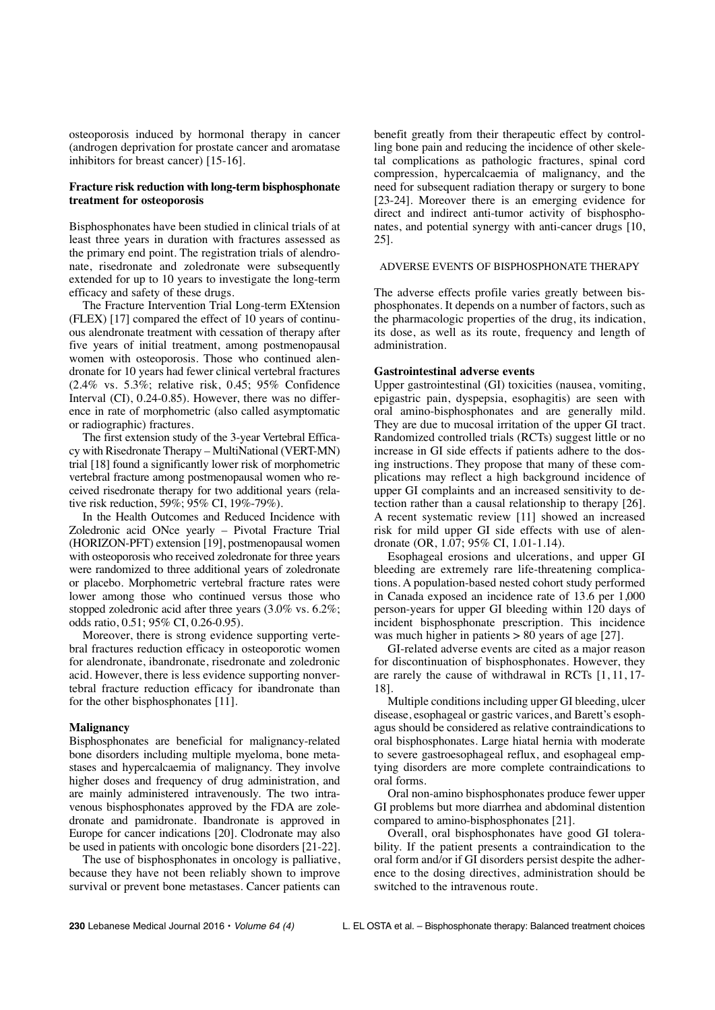osteoporosis induced by hormonal therapy in cancer (androgen deprivation for prostate cancer and aromatase inhibitors for breast cancer) [15-16].

# **Fracture risk reduction with long-term bisphosphonate treatment for osteoporosis**

Bisphosphonates have been studied in clinical trials of at least three years in duration with fractures assessed as the primary end point. The registration trials of alendronate, risedronate and zoledronate were subsequently extended for up to 10 years to investigate the long-term efficacy and safety of these drugs.

The Fracture Intervention Trial Long-term EXtension (FLEX) [17] compared the effect of 10 years of continuous alendronate treatment with cessation of therapy after five years of initial treatment, among postmenopausal women with osteoporosis. Those who continued alendronate for 10 years had fewer clinical vertebral fractures (2.4% vs. 5.3%; relative risk, 0.45; 95% Confidence Interval (CI), 0.24-0.85). However, there was no difference in rate of morphometric (also called asymptomatic or radiographic) fractures.

The first extension study of the 3-year Vertebral Efficacy with Risedronate Therapy – MultiNational (VERT-MN) trial [18] found a significantly lower risk of morphometric vertebral fracture among postmenopausal women who received risedronate therapy for two additional years (relative risk reduction, 59%; 95% CI, 19%-79%).

In the Health Outcomes and Reduced Incidence with Zoledronic acid ONce yearly – Pivotal Fracture Trial (HORIZON-PFT) extension [19], postmenopausal women with osteoporosis who received zoledronate for three years were randomized to three additional years of zoledronate or placebo. Morphometric vertebral fracture rates were lower among those who continued versus those who stopped zoledronic acid after three years (3.0% vs. 6.2%; odds ratio, 0.51; 95% CI, 0.26-0.95).

Moreover, there is strong evidence supporting vertebral fractures reduction efficacy in osteoporotic women for alendronate, ibandronate, risedronate and zoledronic acid. However, there is less evidence supporting nonvertebral fracture reduction efficacy for ibandronate than for the other bisphosphonates [11].

#### **Malignancy**

Bisphosphonates are beneficial for malignancy-related bone disorders including multiple myeloma, bone metastases and hypercalcaemia of malignancy. They involve higher doses and frequency of drug administration, and are mainly administered intravenously. The two intravenous bisphosphonates approved by the FDA are zoledronate and pamidronate. Ibandronate is approved in Europe for cancer indications [20]. Clodronate may also be used in patients with oncologic bone disorders [21-22].

The use of bisphosphonates in oncology is palliative, because they have not been reliably shown to improve survival or prevent bone metastases. Cancer patients can benefit greatly from their therapeutic effect by controlling bone pain and reducing the incidence of other skeletal complications as pathologic fractures, spinal cord compression, hypercalcaemia of malignancy, and the need for subsequent radiation therapy or surgery to bone [23-24]. Moreover there is an emerging evidence for direct and indirect anti-tumor activity of bisphosphonates, and potential synergy with anti-cancer drugs [10, 25].

## ADVERSE EVENTS OF BISPHOSPHONATE THERAPY

The adverse effects profile varies greatly between bisphosphonates. It depends on a number of factors, such as the pharmacologic properties of the drug, its indication, its dose, as well as its route, frequency and length of administration.

## **Gastrointestinal adverse events**

Upper gastrointestinal (GI) toxicities (nausea, vomiting, epigastric pain, dyspepsia, esophagitis) are seen with oral amino-bisphosphonates and are generally mild. They are due to mucosal irritation of the upper GI tract. Randomized controlled trials (RCTs) suggest little or no increase in GI side effects if patients adhere to the dosing instructions. They propose that many of these complications may reflect a high background incidence of upper GI complaints and an increased sensitivity to detection rather than a causal relationship to therapy [26]. A recent systematic review [11] showed an increased risk for mild upper GI side effects with use of alendronate (OR, 1.07; 95% CI, 1.01-1.14).

Esophageal erosions and ulcerations, and upper GI bleeding are extremely rare life-threatening complications. A population-based nested cohort study performed in Canada exposed an incidence rate of 13.6 per 1,000 person-years for upper GI bleeding within 120 days of incident bisphosphonate prescription. This incidence was much higher in patients > 80 years of age [27].

GI-related adverse events are cited as a major reason for discontinuation of bisphosphonates. However, they are rarely the cause of withdrawal in RCTs [1, 11, 17- 18].

Multiple conditions including upper GI bleeding, ulcer disease, esophageal or gastric varices, and Barett's esophagus should be considered as relative contraindications to oral bisphosphonates. Large hiatal hernia with moderate to severe gastroesophageal reflux, and esophageal emptying disorders are more complete contraindications to oral forms.

Oral non-amino bisphosphonates produce fewer upper GI problems but more diarrhea and abdominal distention compared to amino-bisphosphonates [21].

Overall, oral bisphosphonates have good GI tolerability. If the patient presents a contraindication to the oral form and/or if GI disorders persist despite the adherence to the dosing directives, administration should be switched to the intravenous route.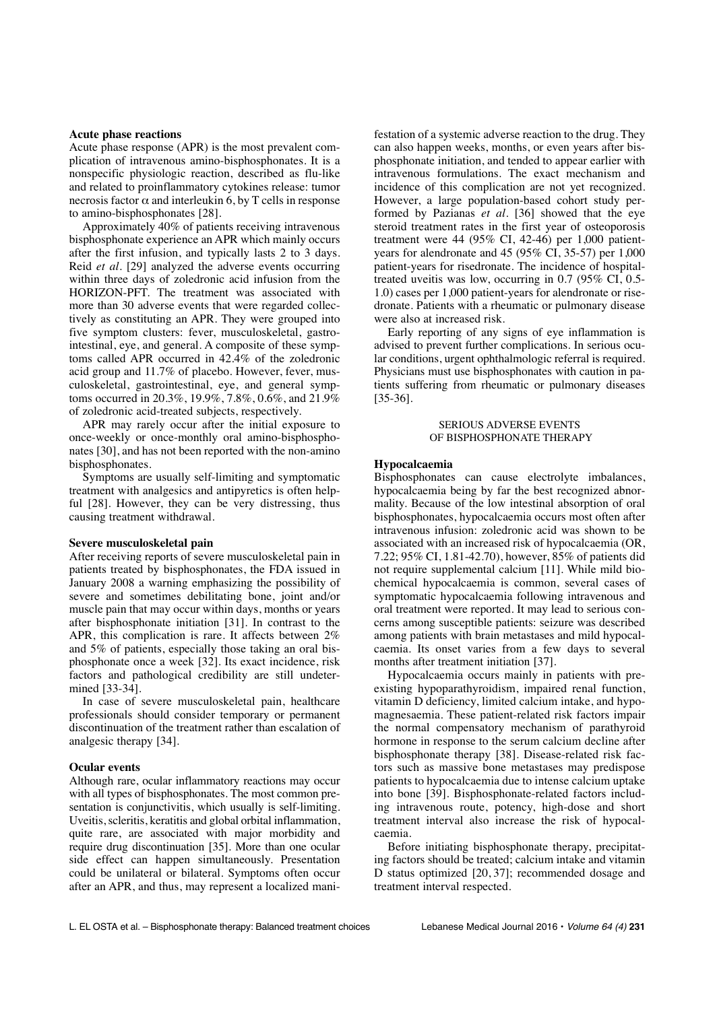#### **Acute phase reactions**

Acute phase response (APR) is the most prevalent complication of intravenous amino-bisphosphonates. It is a nonspecific physiologic reaction, described as flu-like and related to proinflammatory cytokines release: tumor necrosis factor  $\alpha$  and interleukin 6, by T cells in response to amino-bisphosphonates [28].

Approximately 40% of patients receiving intravenous bisphosphonate experience an APR which mainly occurs after the first infusion, and typically lasts 2 to 3 days. Reid *et al.* [29] analyzed the adverse events occurring within three days of zoledronic acid infusion from the HORIZON-PFT. The treatment was associated with more than 30 adverse events that were regarded collectively as constituting an APR. They were grouped into five symptom clusters: fever, musculoskeletal, gastrointestinal, eye, and general. A composite of these symptoms called APR occurred in 42.4% of the zoledronic acid group and 11.7% of placebo. However, fever, musculoskeletal, gastrointestinal, eye, and general symptoms occurred in 20.3%, 19.9%, 7.8%, 0.6%, and 21.9% of zoledronic acid-treated subjects, respectively.

APR may rarely occur after the initial exposure to once-weekly or once-monthly oral amino-bisphosphonates [30], and has not been reported with the non-amino bisphosphonates.

Symptoms are usually self-limiting and symptomatic treatment with analgesics and antipyretics is often helpful [28]. However, they can be very distressing, thus causing treatment withdrawal.

# **Severe musculoskeletal pain**

After receiving reports of severe musculoskeletal pain in patients treated by bisphosphonates, the FDA issued in January 2008 a warning emphasizing the possibility of severe and sometimes debilitating bone, joint and/or muscle pain that may occur within days, months or years after bisphosphonate initiation [31]. In contrast to the APR, this complication is rare. It affects between 2% and 5% of patients, especially those taking an oral bisphosphonate once a week [32]. Its exact incidence, risk factors and pathological credibility are still undetermined [33-34].

In case of severe musculoskeletal pain, healthcare professionals should consider temporary or permanent discontinuation of the treatment rather than escalation of analgesic therapy [34].

## **Ocular events**

Although rare, ocular inflammatory reactions may occur with all types of bisphosphonates. The most common presentation is conjunctivitis, which usually is self-limiting. Uveitis, scleritis, keratitis and global orbital inflammation, quite rare, are associated with major morbidity and require drug discontinuation [35]. More than one ocular side effect can happen simultaneously. Presentation could be unilateral or bilateral. Symptoms often occur after an APR, and thus, may represent a localized manifestation of a systemic adverse reaction to the drug. They can also happen weeks, months, or even years after bisphosphonate initiation, and tended to appear earlier with intravenous formulations. The exact mechanism and incidence of this complication are not yet recognized. However, a large population-based cohort study performed by Pazianas *et al.* [36] showed that the eye steroid treatment rates in the first year of osteoporosis treatment were 44 (95% CI, 42-46) per 1,000 patientyears for alendronate and 45 (95% CI, 35-57) per 1,000 patient-years for risedronate. The incidence of hospitaltreated uveitis was low, occurring in 0.7 (95% CI, 0.5- 1.0) cases per 1,000 patient-years for alendronate or risedronate. Patients with a rheumatic or pulmonary disease were also at increased risk.

Early reporting of any signs of eye inflammation is advised to prevent further complications. In serious ocular conditions, urgent ophthalmologic referral is required. Physicians must use bisphosphonates with caution in patients suffering from rheumatic or pulmonary diseases [35-36].

# SERIOUS ADVERSE EVENTS OF BISPHOSPHONATE THERAPY

## **Hypocalcaemia**

Bisphosphonates can cause electrolyte imbalances, hypocalcaemia being by far the best recognized abnormality. Because of the low intestinal absorption of oral bisphosphonates, hypocalcaemia occurs most often after intravenous infusion: zoledronic acid was shown to be associated with an increased risk of hypocalcaemia (OR, 7.22; 95% CI, 1.81-42.70), however, 85% of patients did not require supplemental calcium [11]. While mild biochemical hypocalcaemia is common, several cases of symptomatic hypocalcaemia following intravenous and oral treatment were reported. It may lead to serious concerns among susceptible patients: seizure was described among patients with brain metastases and mild hypocalcaemia. Its onset varies from a few days to several months after treatment initiation [37].

Hypocalcaemia occurs mainly in patients with preexisting hypoparathyroidism, impaired renal function, vitamin D deficiency, limited calcium intake, and hypomagnesaemia. These patient-related risk factors impair the normal compensatory mechanism of parathyroid hormone in response to the serum calcium decline after bisphosphonate therapy [38]. Disease-related risk factors such as massive bone metastases may predispose patients to hypocalcaemia due to intense calcium uptake into bone [39]. Bisphosphonate-related factors including intravenous route, potency, high-dose and short treatment interval also increase the risk of hypocalcaemia.

Before initiating bisphosphonate therapy, precipitating factors should be treated; calcium intake and vitamin D status optimized [20, 37]; recommended dosage and treatment interval respected.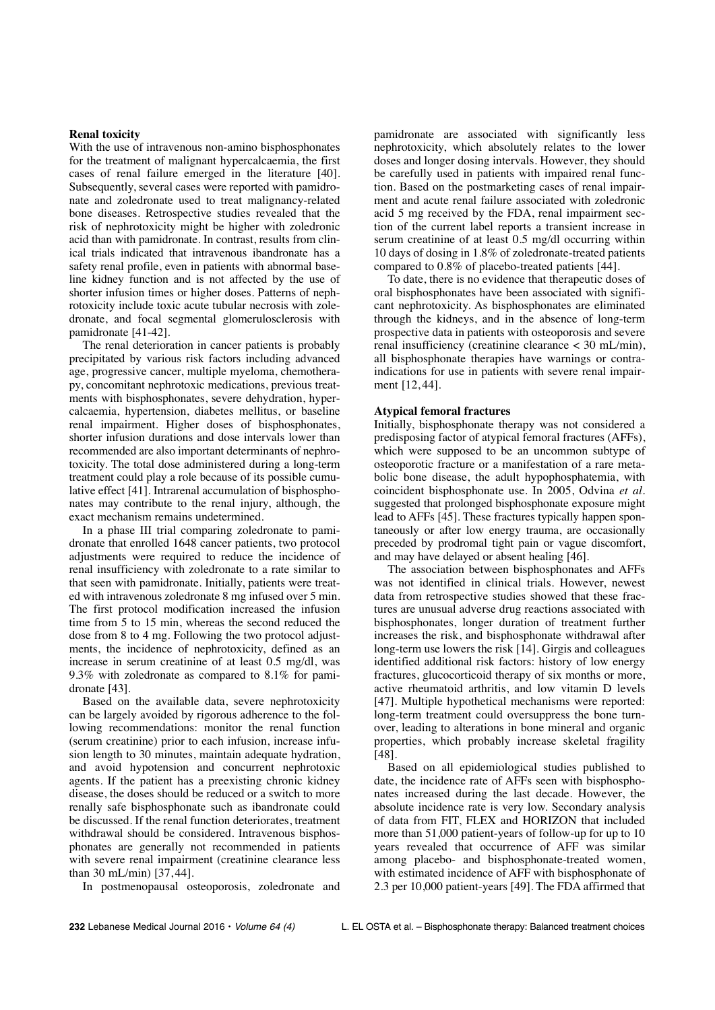# **Renal toxicity**

With the use of intravenous non-amino bisphosphonates for the treatment of malignant hypercalcaemia, the first cases of renal failure emerged in the literature [40]. Subsequently, several cases were reported with pamidronate and zoledronate used to treat malignancy-related bone diseases. Retrospective studies revealed that the risk of nephrotoxicity might be higher with zoledronic acid than with pamidronate. In contrast, results from clinical trials indicated that intravenous ibandronate has a safety renal profile, even in patients with abnormal baseline kidney function and is not affected by the use of shorter infusion times or higher doses. Patterns of nephrotoxicity include toxic acute tubular necrosis with zoledronate, and focal segmental glomerulosclerosis with pamidronate [41-42].

The renal deterioration in cancer patients is probably precipitated by various risk factors including advanced age, progressive cancer, multiple myeloma, chemotherapy, concomitant nephrotoxic medications, previous treatments with bisphosphonates, severe dehydration, hypercalcaemia, hypertension, diabetes mellitus, or baseline renal impairment. Higher doses of bisphosphonates, shorter infusion durations and dose intervals lower than recommended are also important determinants of nephrotoxicity. The total dose administered during a long-term treatment could play a role because of its possible cumulative effect [41]. Intrarenal accumulation of bisphosphonates may contribute to the renal injury, although, the exact mechanism remains undetermined.

In a phase III trial comparing zoledronate to pamidronate that enrolled 1648 cancer patients, two protocol adjustments were required to reduce the incidence of renal insufficiency with zoledronate to a rate similar to that seen with pamidronate. Initially, patients were treated with intravenous zoledronate 8 mg infused over 5 min. The first protocol modification increased the infusion time from 5 to 15 min, whereas the second reduced the dose from 8 to 4 mg. Following the two protocol adjustments, the incidence of nephrotoxicity, defined as an increase in serum creatinine of at least 0.5 mg/dl, was 9.3% with zoledronate as compared to 8.1% for pamidronate [43].

Based on the available data, severe nephrotoxicity can be largely avoided by rigorous adherence to the following recommendations: monitor the renal function (serum creatinine) prior to each infusion, increase infusion length to 30 minutes, maintain adequate hydration, and avoid hypotension and concurrent nephrotoxic agents. If the patient has a preexisting chronic kidney disease, the doses should be reduced or a switch to more renally safe bisphosphonate such as ibandronate could be discussed. If the renal function deteriorates, treatment withdrawal should be considered. Intravenous bisphosphonates are generally not recommended in patients with severe renal impairment (creatinine clearance less than 30 mL/min) [37, 44].

In postmenopausal osteoporosis, zoledronate and

pamidronate are associated with significantly less nephrotoxicity, which absolutely relates to the lower doses and longer dosing intervals. However, they should be carefully used in patients with impaired renal function. Based on the postmarketing cases of renal impairment and acute renal failure associated with zoledronic acid 5 mg received by the FDA, renal impairment section of the current label reports a transient increase in serum creatinine of at least 0.5 mg/dl occurring within 10 days of dosing in 1.8% of zoledronate-treated patients compared to 0.8% of placebo-treated patients [44].

To date, there is no evidence that therapeutic doses of oral bisphosphonates have been associated with significant nephrotoxicity. As bisphosphonates are eliminated through the kidneys, and in the absence of long-term prospective data in patients with osteoporosis and severe renal insufficiency (creatinine clearance < 30 mL/min), all bisphosphonate therapies have warnings or contraindications for use in patients with severe renal impairment [12, 44].

# **Atypical femoral fractures**

Initially, bisphosphonate therapy was not considered a predisposing factor of atypical femoral fractures (AFFs), which were supposed to be an uncommon subtype of osteoporotic fracture or a manifestation of a rare metabolic bone disease, the adult hypophosphatemia, with coincident bisphosphonate use. In 2005, Odvina *et al.* suggested that prolonged bisphosphonate exposure might lead to AFFs [45]. These fractures typically happen spontaneously or after low energy trauma, are occasionally preceded by prodromal tight pain or vague discomfort, and may have delayed or absent healing [46].

The association between bisphosphonates and AFFs was not identified in clinical trials. However, newest data from retrospective studies showed that these fractures are unusual adverse drug reactions associated with bisphosphonates, longer duration of treatment further increases the risk, and bisphosphonate withdrawal after long-term use lowers the risk [14]. Girgis and colleagues identified additional risk factors: history of low energy fractures, glucocorticoid therapy of six months or more, active rheumatoid arthritis, and low vitamin D levels [47]. Multiple hypothetical mechanisms were reported: long-term treatment could oversuppress the bone turnover, leading to alterations in bone mineral and organic properties, which probably increase skeletal fragility [48].

Based on all epidemiological studies published to date, the incidence rate of AFFs seen with bisphosphonates increased during the last decade. However, the absolute incidence rate is very low. Secondary analysis of data from FIT, FLEX and HORIZON that included more than 51,000 patient-years of follow-up for up to 10 years revealed that occurrence of AFF was similar among placebo- and bisphosphonate-treated women, with estimated incidence of AFF with bisphosphonate of 2.3 per 10,000 patient-years [49]. The FDA affirmed that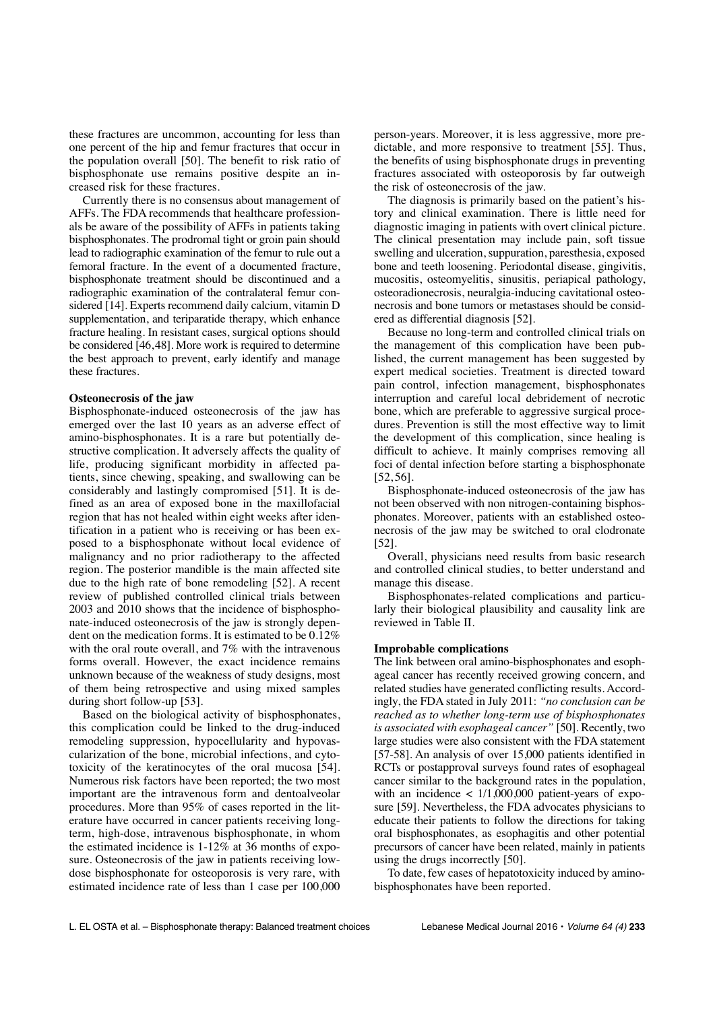these fractures are uncommon, accounting for less than one percent of the hip and femur fractures that occur in the population overall [50]. The benefit to risk ratio of bisphosphonate use remains positive despite an increased risk for these fractures.

Currently there is no consensus about management of AFFs. The FDA recommends that healthcare professionals be aware of the possibility of AFFs in patients taking bisphosphonates. The prodromal tight or groin pain should lead to radiographic examination of the femur to rule out a femoral fracture. In the event of a documented fracture, bisphosphonate treatment should be discontinued and a radiographic examination of the contralateral femur considered [14]. Experts recommend daily calcium, vitamin D supplementation, and teriparatide therapy, which enhance fracture healing. In resistant cases, surgical options should be considered [46,48]. More work is required to determine the best approach to prevent, early identify and manage these fractures.

# **Osteonecrosis of the jaw**

Bisphosphonate-induced osteonecrosis of the jaw has emerged over the last 10 years as an adverse effect of amino-bisphosphonates. It is a rare but potentially destructive complication. It adversely affects the quality of life, producing significant morbidity in affected patients, since chewing, speaking, and swallowing can be considerably and lastingly compromised [51]. It is defined as an area of exposed bone in the maxillofacial region that has not healed within eight weeks after identification in a patient who is receiving or has been exposed to a bisphosphonate without local evidence of malignancy and no prior radiotherapy to the affected region. The posterior mandible is the main affected site due to the high rate of bone remodeling [52]. A recent review of published controlled clinical trials between 2003 and 2010 shows that the incidence of bisphosphonate-induced osteonecrosis of the jaw is strongly dependent on the medication forms. It is estimated to be 0.12% with the oral route overall, and 7% with the intravenous forms overall. However, the exact incidence remains unknown because of the weakness of study designs, most of them being retrospective and using mixed samples during short follow-up [53].

Based on the biological activity of bisphosphonates, this complication could be linked to the drug-induced remodeling suppression, hypocellularity and hypovascularization of the bone, microbial infections, and cytotoxicity of the keratinocytes of the oral mucosa [54]. Numerous risk factors have been reported; the two most important are the intravenous form and dentoalveolar procedures. More than 95% of cases reported in the literature have occurred in cancer patients receiving longterm, high-dose, intravenous bisphosphonate, in whom the estimated incidence is 1-12% at 36 months of exposure. Osteonecrosis of the jaw in patients receiving lowdose bisphosphonate for osteoporosis is very rare, with estimated incidence rate of less than 1 case per 100,000 person-years. Moreover, it is less aggressive, more predictable, and more responsive to treatment [55]. Thus, the benefits of using bisphosphonate drugs in preventing fractures associated with osteoporosis by far outweigh the risk of osteonecrosis of the jaw.

The diagnosis is primarily based on the patient's history and clinical examination. There is little need for diagnostic imaging in patients with overt clinical picture. The clinical presentation may include pain, soft tissue swelling and ulceration, suppuration, paresthesia, exposed bone and teeth loosening. Periodontal disease, gingivitis, mucositis, osteomyelitis, sinusitis, periapical pathology, osteoradionecrosis, neuralgia-inducing cavitational osteonecrosis and bone tumors or metastases should be considered as differential diagnosis [52].

Because no long-term and controlled clinical trials on the management of this complication have been published, the current management has been suggested by expert medical societies. Treatment is directed toward pain control, infection management, bisphosphonates interruption and careful local debridement of necrotic bone, which are preferable to aggressive surgical procedures. Prevention is still the most effective way to limit the development of this complication, since healing is difficult to achieve. It mainly comprises removing all foci of dental infection before starting a bisphosphonate [52, 56].

Bisphosphonate-induced osteonecrosis of the jaw has not been observed with non nitrogen-containing bisphosphonates. Moreover, patients with an established osteonecrosis of the jaw may be switched to oral clodronate [52].

Overall, physicians need results from basic research and controlled clinical studies, to better understand and manage this disease.

Bisphosphonates-related complications and particularly their biological plausibility and causality link are reviewed in Table II.

### **Improbable complications**

The link between oral amino-bisphosphonates and esophageal cancer has recently received growing concern, and related studies have generated conflicting results. Accordingly, the FDA stated in July 2011: *"no conclusion can be reached as to whether long-term use of bisphosphonates is associated with esophageal cancer"* [50]. Recently, two large studies were also consistent with the FDA statement [57-58]. An analysis of over 15,000 patients identified in RCTs or postapproval surveys found rates of esophageal cancer similar to the background rates in the population, with an incidence  $\langle 1/1,000,000 \rangle$  patient-years of exposure [59]. Nevertheless, the FDA advocates physicians to educate their patients to follow the directions for taking oral bisphosphonates, as esophagitis and other potential precursors of cancer have been related, mainly in patients using the drugs incorrectly [50].

To date, few cases of hepatotoxicity induced by aminobisphosphonates have been reported.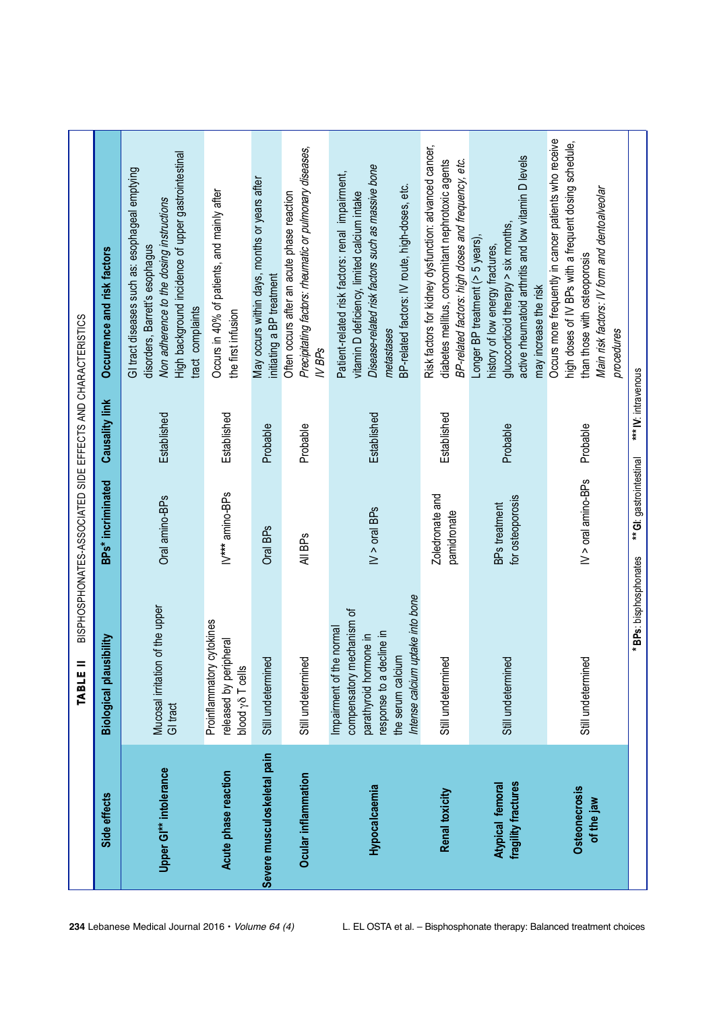|                                         | $=$<br>TABLE                                                                                                                                                              | BISPHOSPHONATES-ASSOCIATED SIDE EFFECTS AND CHARACTERISTICS |                       |                                                                                                                                                                                                                      |
|-----------------------------------------|---------------------------------------------------------------------------------------------------------------------------------------------------------------------------|-------------------------------------------------------------|-----------------------|----------------------------------------------------------------------------------------------------------------------------------------------------------------------------------------------------------------------|
| Side effects                            | Biological plausibility                                                                                                                                                   | BPs* incriminated                                           | <b>Causality link</b> | Occurrence and risk factors                                                                                                                                                                                          |
| Upper GI** intolerance                  | Mucosal irritation of the upper<br>GI tract                                                                                                                               | Oral amino-BPs                                              | Established           | High background incidence of upper gastrointestinal<br>GI tract diseases such as: esophageal emptying<br>Non adherence to the dosing instructions<br>disorders, Barrett's esophagus<br>tract complaints              |
| Acute phase reaction                    | Proinflammatory cytokines<br>released by peripheral<br>blood yo T cells                                                                                                   | IV*** amino-BPs                                             | Established           | Occurs in 40% of patients, and mainly after<br>the first infusion                                                                                                                                                    |
| Severe musculoskeletal pain             | Still undetermined                                                                                                                                                        | Oral BP <sub>S</sub>                                        | Probable              | May occurs within days, months or years after<br>initiating a BP treatment                                                                                                                                           |
| Ocular inflammation                     | Still undetermined                                                                                                                                                        | All BP <sub>s</sub>                                         | Probable              | Precipitating factors: rheumatic or pulmonary diseases,<br>Often occurs after an acute phase reaction<br>$N$ BPs                                                                                                     |
| Hypocalcaemia                           | Intense calcium uptake into bone<br>compensatory mechanism of<br>the normal<br>response to a decline in<br>parathyroid hormone in<br>the serum calcium<br>Impairment of t | $N > o$ ral BPs                                             | Established           | Disease-related risk factors such as massive bone<br>Patient-related risk factors: renal impairment,<br>BP-related factors: IV route, high-doses, etc.<br>vitamin D deficiency, limited calcium intake<br>metastases |
| Renal toxicity                          | ଟ୍ର<br>Still undetermin                                                                                                                                                   | Zoledronate and<br>pamidronate                              | Established           | Risk factors for kidney dysfunction: advanced cancer,<br>diabetes mellitus, concomitant nephrotoxic agents<br>BP-related factors: high doses and frequency, etc.                                                     |
| fragility fractures<br>Atypical femoral | Still undetermined                                                                                                                                                        | for osteoporosis<br>BPs treatment                           | Probable              | active rheumatoid arthritis and low vitamin D levels<br>glucocorticoid therapy > six months,<br>Longer BP treatment (> 5 years),<br>history of low energy fractures,<br>may increase the risk                        |
| <b>Osteonecrosis</b><br>of the jaw      | Still undetermined                                                                                                                                                        | $N >$ oral amino-BPs                                        | Probable              | Occurs more frequently in cancer patients who receive<br>high doses of IV BPs with a frequent dosing schedule,<br>Main risk factors: IV form and dentoalveolar<br>than those with osteoporosis<br>procedures         |
|                                         | *BPs: bisphosphonates                                                                                                                                                     | ** GI: gastrointestinal                                     | *** IV: intravenous   |                                                                                                                                                                                                                      |

234 Lebanese Medical Journal 2016 • Volume 64 (4) L. EL OSTA et al. – Bisphosphonate therapy: Balanced treatment choices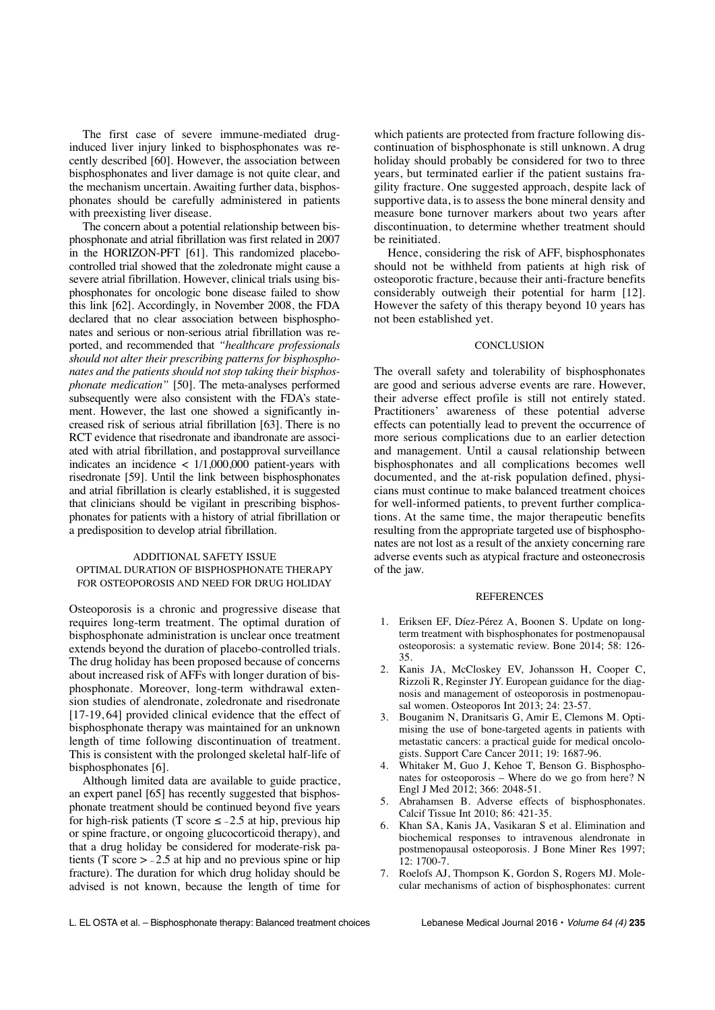The first case of severe immune-mediated druginduced liver injury linked to bisphosphonates was recently described [60]. However, the association between bisphosphonates and liver damage is not quite clear, and the mechanism uncertain. Awaiting further data, bisphosphonates should be carefully administered in patients with preexisting liver disease.

The concern about a potential relationship between bisphosphonate and atrial fibrillation was first related in 2007 in the HORIZON-PFT [61]. This randomized placebocontrolled trial showed that the zoledronate might cause a severe atrial fibrillation. However, clinical trials using bisphosphonates for oncologic bone disease failed to show this link [62]. Accordingly, in November 2008, the FDA declared that no clear association between bisphosphonates and serious or non-serious atrial fibrillation was reported, and recommended that *"healthcare professionals should not alter their prescribing patterns for bisphosphonates and the patients should not stop taking their bisphosphonate medication"* [50]. The meta-analyses performed subsequently were also consistent with the FDA's statement. However, the last one showed a significantly increased risk of serious atrial fibrillation [63]. There is no RCT evidence that risedronate and ibandronate are associated with atrial fibrillation, and postapproval surveillance indicates an incidence  $< 1/1,000,000$  patient-years with risedronate [59]. Until the link between bisphosphonates and atrial fibrillation is clearly established, it is suggested that clinicians should be vigilant in prescribing bisphosphonates for patients with a history of atrial fibrillation or a predisposition to develop atrial fibrillation.

# ADDITIONAL SAFETY ISSUE OPTIMAL DURATION OF BISPHOSPHONATE THERAPY FOR OSTEOPOROSIS AND NEED FOR DRUG HOLIDAY

Osteoporosis is a chronic and progressive disease that requires long-term treatment. The optimal duration of bisphosphonate administration is unclear once treatment extends beyond the duration of placebo-controlled trials. The drug holiday has been proposed because of concerns about increased risk of AFFs with longer duration of bisphosphonate. Moreover, long-term withdrawal extension studies of alendronate, zoledronate and risedronate [17-19, 64] provided clinical evidence that the effect of bisphosphonate therapy was maintained for an unknown length of time following discontinuation of treatment. This is consistent with the prolonged skeletal half-life of bisphosphonates [6].

Although limited data are available to guide practice, an expert panel [65] has recently suggested that bisphosphonate treatment should be continued beyond five years for high-risk patients (T score  $\leq -2.5$  at hip, previous hip or spine fracture, or ongoing glucocorticoid therapy), and that a drug holiday be considered for moderate-risk patients (T score  $> -2.5$  at hip and no previous spine or hip fracture). The duration for which drug holiday should be advised is not known, because the length of time for which patients are protected from fracture following discontinuation of bisphosphonate is still unknown. A drug holiday should probably be considered for two to three years, but terminated earlier if the patient sustains fragility fracture. One suggested approach, despite lack of supportive data, is to assess the bone mineral density and measure bone turnover markers about two years after discontinuation, to determine whether treatment should be reinitiated.

Hence, considering the risk of AFF, bisphosphonates should not be withheld from patients at high risk of osteoporotic fracture, because their anti-fracture benefits considerably outweigh their potential for harm [12]. However the safety of this therapy beyond 10 years has not been established yet.

# **CONCLUSION**

The overall safety and tolerability of bisphosphonates are good and serious adverse events are rare. However, their adverse effect profile is still not entirely stated. Practitioners' awareness of these potential adverse effects can potentially lead to prevent the occurrence of more serious complications due to an earlier detection and management. Until a causal relationship between bisphosphonates and all complications becomes well documented, and the at-risk population defined, physicians must continue to make balanced treatment choices for well-informed patients, to prevent further complications. At the same time, the major therapeutic benefits resulting from the appropriate targeted use of bisphosphonates are not lost as a result of the anxiety concerning rare adverse events such as atypical fracture and osteonecrosis of the jaw.

#### REFERENCES

- 1. Eriksen EF, Díez-Pérez A, Boonen S. Update on longterm treatment with bisphosphonates for postmenopausal osteoporosis: a systematic review. Bone 2014; 58: 126- 35.
- 2. Kanis JA, McCloskey EV, Johansson H, Cooper C, Rizzoli R, Reginster JY. European guidance for the diagnosis and management of osteoporosis in postmenopausal women. Osteoporos Int 2013; 24: 23-57.
- 3. Bouganim N, Dranitsaris G, Amir E, Clemons M. Optimising the use of bone-targeted agents in patients with metastatic cancers: a practical guide for medical oncologists. Support Care Cancer 2011; 19: 1687-96.
- 4. Whitaker M, Guo J, Kehoe T, Benson G. Bisphosphonates for osteoporosis – Where do we go from here? N Engl J Med 2012; 366: 2048-51.
- 5. Abrahamsen B. Adverse effects of bisphosphonates. Calcif Tissue Int 2010; 86: 421-35.
- 6. Khan SA, Kanis JA, Vasikaran S et al. Elimination and biochemical responses to intravenous alendronate in postmenopausal osteoporosis. J Bone Miner Res 1997; 12: 1700-7.
- 7. Roelofs AJ, Thompson K, Gordon S, Rogers MJ. Molecular mechanisms of action of bisphosphonates: current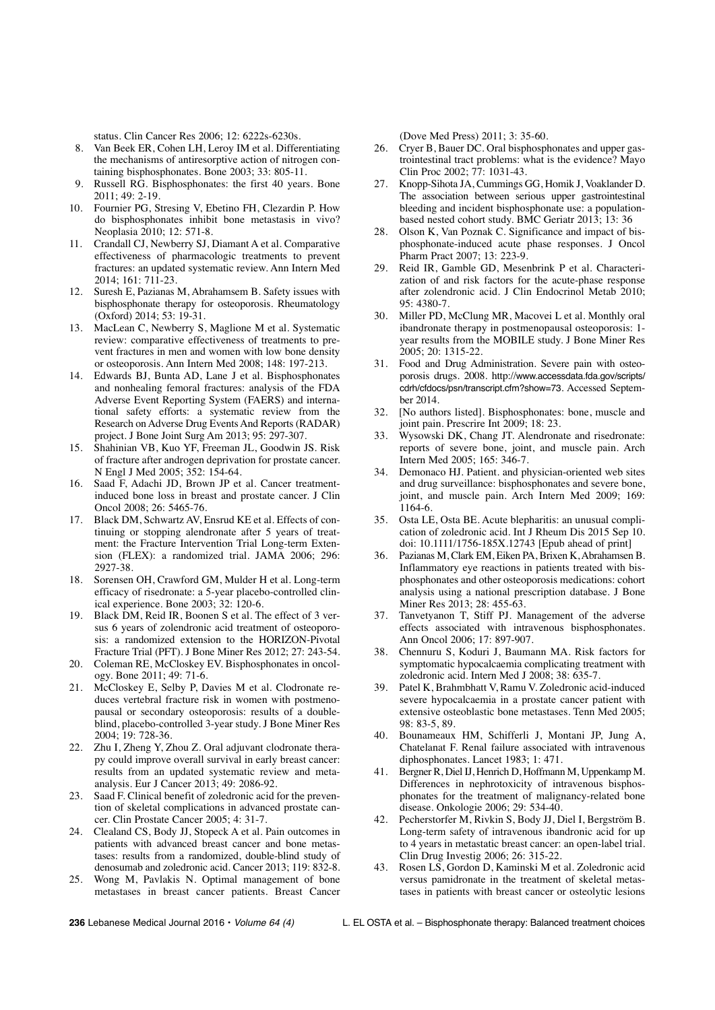status. Clin Cancer Res 2006; 12: 6222s-6230s.

- 8. Van Beek ER, Cohen LH, Leroy IM et al. Differentiating the mechanisms of antiresorptive action of nitrogen containing bisphosphonates. Bone 2003; 33: 805-11.
- 9. Russell RG. Bisphosphonates: the first 40 years. Bone 2011; 49: 2-19.
- 10. Fournier PG, Stresing V, Ebetino FH, Clezardin P. How do bisphosphonates inhibit bone metastasis in vivo? Neoplasia 2010; 12: 571-8.
- 11. Crandall CJ, Newberry SJ, Diamant A et al. Comparative effectiveness of pharmacologic treatments to prevent fractures: an updated systematic review. Ann Intern Med 2014; 161: 711-23.
- 12. Suresh E, Pazianas M, Abrahamsem B. Safety issues with bisphosphonate therapy for osteoporosis. Rheumatology (Oxford) 2014; 53: 19-31.
- 13. MacLean C, Newberry S, Maglione M et al. Systematic review: comparative effectiveness of treatments to prevent fractures in men and women with low bone density or osteoporosis. Ann Intern Med 2008; 148: 197-213.
- 14. Edwards BJ, Bunta AD, Lane J et al. Bisphosphonates and nonhealing femoral fractures: analysis of the FDA Adverse Event Reporting System (FAERS) and international safety efforts: a systematic review from the Research on Adverse Drug Events And Reports (RADAR) project. J Bone Joint Surg Am 2013; 95: 297-307.
- 15. Shahinian VB, Kuo YF, Freeman JL, Goodwin JS. Risk of fracture after androgen deprivation for prostate cancer. N Engl J Med 2005; 352: 154-64.
- 16. Saad F, Adachi JD, Brown JP et al. Cancer treatmentinduced bone loss in breast and prostate cancer. J Clin Oncol 2008; 26: 5465-76.
- 17. Black DM, Schwartz AV, Ensrud KE et al. Effects of continuing or stopping alendronate after 5 years of treatment: the Fracture Intervention Trial Long-term Extension (FLEX): a randomized trial. JAMA 2006; 296: 2927-38.
- 18. Sorensen OH, Crawford GM, Mulder H et al. Long-term efficacy of risedronate: a 5-year placebo-controlled clinical experience. Bone 2003; 32: 120-6.
- Black DM, Reid IR, Boonen S et al. The effect of 3 versus 6 years of zolendronic acid treatment of osteoporosis: a randomized extension to the HORIZON-Pivotal Fracture Trial (PFT). J Bone Miner Res 2012; 27: 243-54.
- 20. Coleman RE, McCloskey EV. Bisphosphonates in oncology. Bone 2011; 49: 71-6.
- 21. McCloskey E, Selby P, Davies M et al. Clodronate reduces vertebral fracture risk in women with postmenopausal or secondary osteoporosis: results of a doubleblind, placebo-controlled 3-year study. J Bone Miner Res 2004; 19: 728-36.
- 22. Zhu I, Zheng Y, Zhou Z. Oral adjuvant clodronate therapy could improve overall survival in early breast cancer: results from an updated systematic review and metaanalysis. Eur J Cancer 2013; 49: 2086-92.
- 23. Saad F. Clinical benefit of zoledronic acid for the prevention of skeletal complications in advanced prostate cancer. Clin Prostate Cancer 2005; 4: 31-7.
- 24. Clealand CS, Body JJ, Stopeck A et al. Pain outcomes in patients with advanced breast cancer and bone metastases: results from a randomized, double-blind study of denosumab and zoledronic acid. Cancer 2013; 119: 832-8.
- 25. Wong M, Pavlakis N. Optimal management of bone metastases in breast cancer patients. Breast Cancer

(Dove Med Press) 2011; 3: 35-60.

- 26. Cryer B, Bauer DC. Oral bisphosphonates and upper gastrointestinal tract problems: what is the evidence? Mayo Clin Proc 2002; 77: 1031-43.
- 27. Knopp-Sihota JA, Cummings GG, Homik J, Voaklander D. The association between serious upper gastrointestinal bleeding and incident bisphosphonate use: a populationbased nested cohort study. BMC Geriatr 2013; 13: 36
- Olson K, Van Poznak C. Significance and impact of bisphosphonate-induced acute phase responses. J Oncol Pharm Pract 2007; 13: 223-9.
- 29. Reid IR, Gamble GD, Mesenbrink P et al. Characterization of and risk factors for the acute-phase response after zolendronic acid. J Clin Endocrinol Metab 2010; 95: 4380-7.
- 30. Miller PD, McClung MR, Macovei L et al. Monthly oral ibandronate therapy in postmenopausal osteoporosis: 1 year results from the MOBILE study. J Bone Miner Res 2005; 20: 1315-22.
- 31. Food and Drug Administration. Severe pain with osteoporosis drugs. 2008. http://www.accessdata.fda.gov/scripts/ cdrh/cfdocs/psn/transcript.cfm?show=73. Accessed September 2014.
- 32. [No authors listed]. Bisphosphonates: bone, muscle and joint pain. Prescrire Int 2009; 18: 23.
- 33. Wysowski DK, Chang JT. Alendronate and risedronate: reports of severe bone, joint, and muscle pain. Arch Intern Med 2005; 165: 346-7.
- 34. Demonaco HJ. Patient. and physician-oriented web sites and drug surveillance: bisphosphonates and severe bone, joint, and muscle pain. Arch Intern Med 2009; 169: 1164-6.
- 35. Osta LE, Osta BE. Acute blepharitis: an unusual complication of zoledronic acid. Int J Rheum Dis 2015 Sep 10. doi: 10.1111/1756-185X.12743 [Epub ahead of print]
- 36. Pazianas M, Clark EM, Eiken PA, Brixen K, Abrahamsen B. Inflammatory eye reactions in patients treated with bisphosphonates and other osteoporosis medications: cohort analysis using a national prescription database. J Bone Miner Res 2013; 28: 455-63.
- 37. Tanvetyanon T, Stiff PJ. Management of the adverse effects associated with intravenous bisphosphonates. Ann Oncol 2006; 17: 897-907.
- 38. Chennuru S, Koduri J, Baumann MA. Risk factors for symptomatic hypocalcaemia complicating treatment with zoledronic acid. Intern Med J 2008; 38: 635-7.
- 39. Patel K, Brahmbhatt V, Ramu V. Zoledronic acid-induced severe hypocalcaemia in a prostate cancer patient with extensive osteoblastic bone metastases. Tenn Med 2005; 98: 83-5, 89.
- 40. Bounameaux HM, Schifferli J, Montani JP, Jung A, Chatelanat F. Renal failure associated with intravenous diphosphonates. Lancet 1983; 1: 471.
- 41. Bergner R, Diel IJ, Henrich D, Hoffmann M, Uppenkamp M. Differences in nephrotoxicity of intravenous bisphosphonates for the treatment of malignancy-related bone disease. Onkologie 2006; 29: 534-40.
- 42. Pecherstorfer M, Rivkin S, Body JJ, Diel I, Bergström B. Long-term safety of intravenous ibandronic acid for up to 4 years in metastatic breast cancer: an open-label trial. Clin Drug Investig 2006; 26: 315-22.
- 43. Rosen LS, Gordon D, Kaminski M et al. Zoledronic acid versus pamidronate in the treatment of skeletal metastases in patients with breast cancer or osteolytic lesions